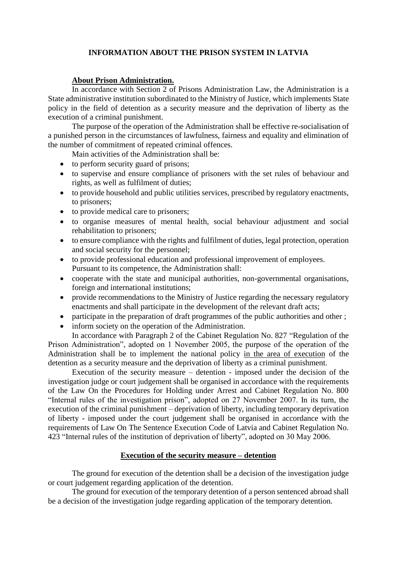# **INFORMATION ABOUT THE PRISON SYSTEM IN LATVIA**

## **About Prison Administration.**

In accordance with Section 2 of Prisons Administration Law, the Administration is a State administrative institution subordinated to the Ministry of Justice, which implements State policy in the field of detention as a security measure and the deprivation of liberty as the execution of a criminal punishment.

The purpose of the operation of the Administration shall be effective re-socialisation of a punished person in the circumstances of lawfulness, fairness and equality and elimination of the number of commitment of repeated criminal offences.

Main activities of the Administration shall be:

- to perform security guard of prisons;
- to supervise and ensure compliance of prisoners with the set rules of behaviour and rights, as well as fulfilment of duties;
- to provide household and public utilities services, prescribed by regulatory enactments, to prisoners;
- to provide medical care to prisoners;
- to organise measures of mental health, social behaviour adjustment and social rehabilitation to prisoners;
- to ensure compliance with the rights and fulfilment of duties, legal protection, operation and social security for the personnel;
- to provide professional education and professional improvement of employees. Pursuant to its competence, the Administration shall:
- cooperate with the state and municipal authorities, non-governmental organisations, foreign and international institutions;
- provide recommendations to the Ministry of Justice regarding the necessary regulatory enactments and shall participate in the development of the relevant draft acts;
- participate in the preparation of draft programmes of the public authorities and other;
- inform society on the operation of the Administration. In accordance with Paragraph 2 of the Cabinet Regulation No. 827 "Regulation of the

Prison Administration", adopted on 1 November 2005, the purpose of the operation of the Administration shall be to implement the national policy in the area of execution of the detention as a security measure and the deprivation of liberty as a criminal punishment.

Execution of the security measure – detention - imposed under the decision of the investigation judge or court judgement shall be organised in accordance with the requirements of the Law On the Procedures for Holding under Arrest and Cabinet Regulation No. 800 "Internal rules of the investigation prison", adopted on 27 November 2007. In its turn, the execution of the criminal punishment – deprivation of liberty, including temporary deprivation of liberty - imposed under the court judgement shall be organised in accordance with the requirements of Law On The Sentence Execution Code of Latvia and Cabinet Regulation No. 423 "Internal rules of the institution of deprivation of liberty", adopted on 30 May 2006.

# **Execution of the security measure – detention**

The ground for execution of the detention shall be a decision of the investigation judge or court judgement regarding application of the detention.

The ground for execution of the temporary detention of a person sentenced abroad shall be a decision of the investigation judge regarding application of the temporary detention.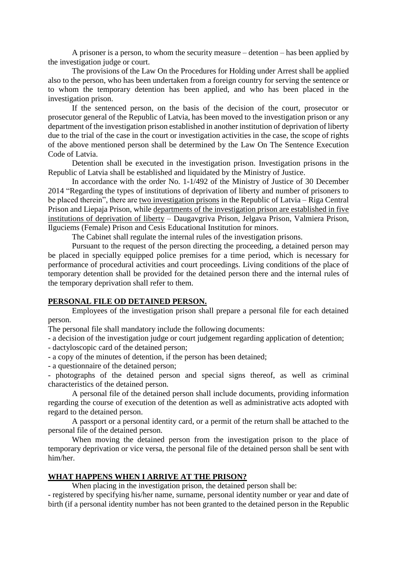A prisoner is a person, to whom the security measure – detention – has been applied by the investigation judge or court.

The provisions of the Law On the Procedures for Holding under Arrest shall be applied also to the person, who has been undertaken from a foreign country for serving the sentence or to whom the temporary detention has been applied, and who has been placed in the investigation prison.

If the sentenced person, on the basis of the decision of the court, prosecutor or prosecutor general of the Republic of Latvia, has been moved to the investigation prison or any department of the investigation prison established in another institution of deprivation of liberty due to the trial of the case in the court or investigation activities in the case, the scope of rights of the above mentioned person shall be determined by the Law On The Sentence Execution Code of Latvia.

Detention shall be executed in the investigation prison. Investigation prisons in the Republic of Latvia shall be established and liquidated by the Ministry of Justice.

In accordance with the order No. 1-1/492 of the Ministry of Justice of 30 December 2014 "Regarding the types of institutions of deprivation of liberty and number of prisoners to be placed therein", there are two investigation prisons in the Republic of Latvia – Riga Central Prison and Liepaja Prison, while departments of the investigation prison are established in five institutions of deprivation of liberty – Daugavgriva Prison, Jelgava Prison, Valmiera Prison, Ilguciems (Female) Prison and Cesis Educational Institution for minors.

The Cabinet shall regulate the internal rules of the investigation prisons.

Pursuant to the request of the person directing the proceeding, a detained person may be placed in specially equipped police premises for a time period, which is necessary for performance of procedural activities and court proceedings. Living conditions of the place of temporary detention shall be provided for the detained person there and the internal rules of the temporary deprivation shall refer to them.

### **PERSONAL FILE OD DETAINED PERSON.**

Employees of the investigation prison shall prepare a personal file for each detained person.

The personal file shall mandatory include the following documents:

- a decision of the investigation judge or court judgement regarding application of detention;

- dactyloscopic card of the detained person;

- a copy of the minutes of detention, if the person has been detained;

- a questionnaire of the detained person;

- photographs of the detained person and special signs thereof, as well as criminal characteristics of the detained person.

A personal file of the detained person shall include documents, providing information regarding the course of execution of the detention as well as administrative acts adopted with regard to the detained person.

A passport or a personal identity card, or a permit of the return shall be attached to the personal file of the detained person.

When moving the detained person from the investigation prison to the place of temporary deprivation or vice versa, the personal file of the detained person shall be sent with him/her.

#### **WHAT HAPPENS WHEN I ARRIVE AT THE PRISON?**

When placing in the investigation prison, the detained person shall be:

- registered by specifying his/her name, surname, personal identity number or year and date of birth (if a personal identity number has not been granted to the detained person in the Republic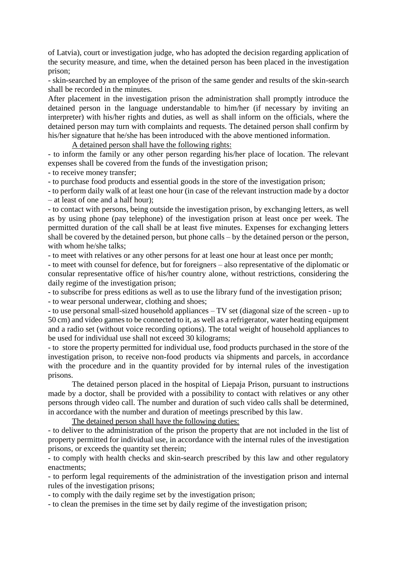of Latvia), court or investigation judge, who has adopted the decision regarding application of the security measure, and time, when the detained person has been placed in the investigation prison;

- skin-searched by an employee of the prison of the same gender and results of the skin-search shall be recorded in the minutes.

After placement in the investigation prison the administration shall promptly introduce the detained person in the language understandable to him/her (if necessary by inviting an interpreter) with his/her rights and duties, as well as shall inform on the officials, where the detained person may turn with complaints and requests. The detained person shall confirm by his/her signature that he/she has been introduced with the above mentioned information.

A detained person shall have the following rights:

- to inform the family or any other person regarding his/her place of location. The relevant expenses shall be covered from the funds of the investigation prison;

- to receive money transfer;

- to purchase food products and essential goods in the store of the investigation prison;

- to perform daily walk of at least one hour (in case of the relevant instruction made by a doctor – at least of one and a half hour);

- to contact with persons, being outside the investigation prison, by exchanging letters, as well as by using phone (pay telephone) of the investigation prison at least once per week. The permitted duration of the call shall be at least five minutes. Expenses for exchanging letters shall be covered by the detained person, but phone calls – by the detained person or the person, with whom he/she talks;

- to meet with relatives or any other persons for at least one hour at least once per month;

- to meet with counsel for defence, but for foreigners – also representative of the diplomatic or consular representative office of his/her country alone, without restrictions, considering the daily regime of the investigation prison;

- to subscribe for press editions as well as to use the library fund of the investigation prison;

- to wear personal underwear, clothing and shoes;

- to use personal small-sized household appliances – TV set (diagonal size of the screen - up to 50 cm) and video games to be connected to it, as well as a refrigerator, water heating equipment and a radio set (without voice recording options). The total weight of household appliances to be used for individual use shall not exceed 30 kilograms;

- to store the property permitted for individual use, food products purchased in the store of the investigation prison, to receive non-food products via shipments and parcels, in accordance with the procedure and in the quantity provided for by internal rules of the investigation prisons.

The detained person placed in the hospital of Liepaja Prison, pursuant to instructions made by a doctor, shall be provided with a possibility to contact with relatives or any other persons through video call. The number and duration of such video calls shall be determined, in accordance with the number and duration of meetings prescribed by this law.

The detained person shall have the following duties:

- to deliver to the administration of the prison the property that are not included in the list of property permitted for individual use, in accordance with the internal rules of the investigation prisons, or exceeds the quantity set therein;

- to comply with health checks and skin-search prescribed by this law and other regulatory enactments;

- to perform legal requirements of the administration of the investigation prison and internal rules of the investigation prisons;

- to comply with the daily regime set by the investigation prison;

- to clean the premises in the time set by daily regime of the investigation prison;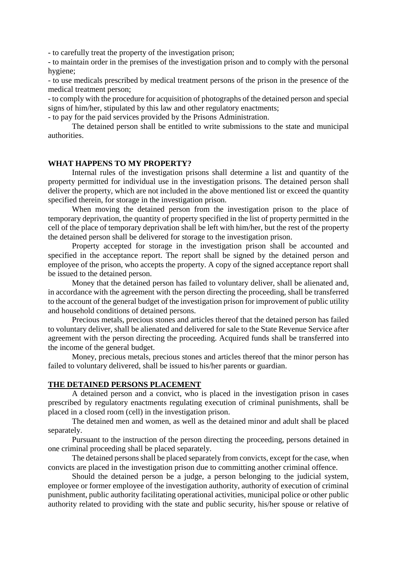- to carefully treat the property of the investigation prison;

- to maintain order in the premises of the investigation prison and to comply with the personal hygiene;

- to use medicals prescribed by medical treatment persons of the prison in the presence of the medical treatment person;

- to comply with the procedure for acquisition of photographs of the detained person and special signs of him/her, stipulated by this law and other regulatory enactments;

- to pay for the paid services provided by the Prisons Administration.

The detained person shall be entitled to write submissions to the state and municipal authorities.

## **WHAT HAPPENS TO MY PROPERTY?**

Internal rules of the investigation prisons shall determine a list and quantity of the property permitted for individual use in the investigation prisons. The detained person shall deliver the property, which are not included in the above mentioned list or exceed the quantity specified therein, for storage in the investigation prison.

When moving the detained person from the investigation prison to the place of temporary deprivation, the quantity of property specified in the list of property permitted in the cell of the place of temporary deprivation shall be left with him/her, but the rest of the property the detained person shall be delivered for storage to the investigation prison.

Property accepted for storage in the investigation prison shall be accounted and specified in the acceptance report. The report shall be signed by the detained person and employee of the prison, who accepts the property. A copy of the signed acceptance report shall be issued to the detained person.

Money that the detained person has failed to voluntary deliver, shall be alienated and, in accordance with the agreement with the person directing the proceeding, shall be transferred to the account of the general budget of the investigation prison for improvement of public utility and household conditions of detained persons.

Precious metals, precious stones and articles thereof that the detained person has failed to voluntary deliver, shall be alienated and delivered for sale to the State Revenue Service after agreement with the person directing the proceeding. Acquired funds shall be transferred into the income of the general budget.

Money, precious metals, precious stones and articles thereof that the minor person has failed to voluntary delivered, shall be issued to his/her parents or guardian.

## **THE DETAINED PERSONS PLACEMENT**

A detained person and a convict, who is placed in the investigation prison in cases prescribed by regulatory enactments regulating execution of criminal punishments, shall be placed in a closed room (cell) in the investigation prison.

The detained men and women, as well as the detained minor and adult shall be placed separately.

Pursuant to the instruction of the person directing the proceeding, persons detained in one criminal proceeding shall be placed separately.

The detained persons shall be placed separately from convicts, except for the case, when convicts are placed in the investigation prison due to committing another criminal offence.

Should the detained person be a judge, a person belonging to the judicial system, employee or former employee of the investigation authority, authority of execution of criminal punishment, public authority facilitating operational activities, municipal police or other public authority related to providing with the state and public security, his/her spouse or relative of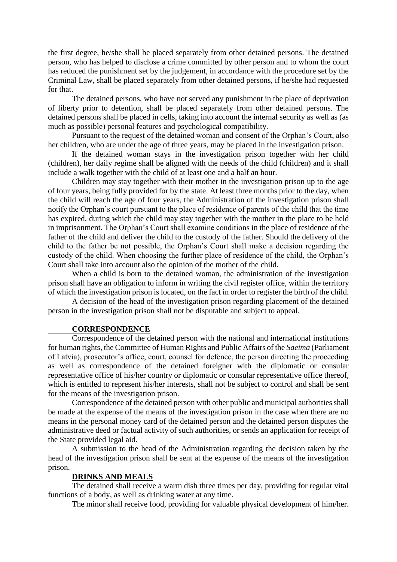the first degree, he/she shall be placed separately from other detained persons. The detained person, who has helped to disclose a crime committed by other person and to whom the court has reduced the punishment set by the judgement, in accordance with the procedure set by the Criminal Law, shall be placed separately from other detained persons, if he/she had requested for that.

The detained persons, who have not served any punishment in the place of deprivation of liberty prior to detention, shall be placed separately from other detained persons. The detained persons shall be placed in cells, taking into account the internal security as well as (as much as possible) personal features and psychological compatibility.

Pursuant to the request of the detained woman and consent of the Orphan's Court, also her children, who are under the age of three years, may be placed in the investigation prison.

If the detained woman stays in the investigation prison together with her child (children), her daily regime shall be aligned with the needs of the child (children) and it shall include a walk together with the child of at least one and a half an hour.

Children may stay together with their mother in the investigation prison up to the age of four years, being fully provided for by the state. At least three months prior to the day, when the child will reach the age of four years, the Administration of the investigation prison shall notify the Orphan's court pursuant to the place of residence of parents of the child that the time has expired, during which the child may stay together with the mother in the place to be held in imprisonment. The Orphan's Court shall examine conditions in the place of residence of the father of the child and deliver the child to the custody of the father. Should the delivery of the child to the father be not possible, the Orphan's Court shall make a decision regarding the custody of the child. When choosing the further place of residence of the child, the Orphan's Court shall take into account also the opinion of the mother of the child.

When a child is born to the detained woman, the administration of the investigation prison shall have an obligation to inform in writing the civil register office, within the territory of which the investigation prison is located, on the fact in order to register the birth of the child.

A decision of the head of the investigation prison regarding placement of the detained person in the investigation prison shall not be disputable and subject to appeal.

#### **CORRESPONDENCE**

Correspondence of the detained person with the national and international institutions for human rights, the Committee of Human Rights and Public Affairs of the *Saeima* (Parliament of Latvia), prosecutor's office, court, counsel for defence, the person directing the proceeding as well as correspondence of the detained foreigner with the diplomatic or consular representative office of his/her country or diplomatic or consular representative office thereof, which is entitled to represent his/her interests, shall not be subject to control and shall be sent for the means of the investigation prison.

Correspondence of the detained person with other public and municipal authorities shall be made at the expense of the means of the investigation prison in the case when there are no means in the personal money card of the detained person and the detained person disputes the administrative deed or factual activity of such authorities, or sends an application for receipt of the State provided legal aid.

A submission to the head of the Administration regarding the decision taken by the head of the investigation prison shall be sent at the expense of the means of the investigation prison.

#### **DRINKS AND MEALS**

The detained shall receive a warm dish three times per day, providing for regular vital functions of a body, as well as drinking water at any time.

The minor shall receive food, providing for valuable physical development of him/her.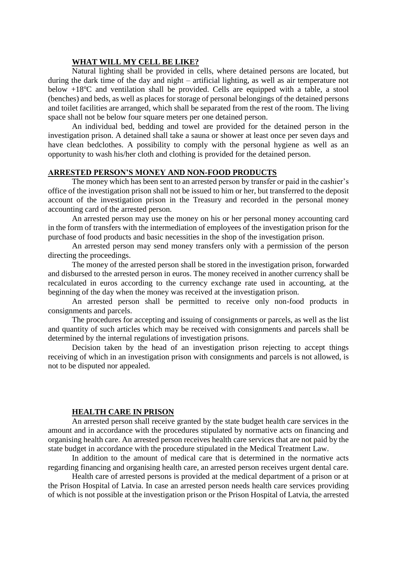## **WHAT WILL MY CELL BE LIKE?**

Natural lighting shall be provided in cells, where detained persons are located, but during the dark time of the day and night – artificial lighting, as well as air temperature not below  $+18^{\circ}$ C and ventilation shall be provided. Cells are equipped with a table, a stool (benches) and beds, as well as places for storage of personal belongings of the detained persons and toilet facilities are arranged, which shall be separated from the rest of the room. The living space shall not be below four square meters per one detained person.

An individual bed, bedding and towel are provided for the detained person in the investigation prison. A detained shall take a sauna or shower at least once per seven days and have clean bedclothes. A possibility to comply with the personal hygiene as well as an opportunity to wash his/her cloth and clothing is provided for the detained person.

## **ARRESTED PERSON'S MONEY AND NON-FOOD PRODUCTS**

The money which has been sent to an arrested person by transfer or paid in the cashier's office of the investigation prison shall not be issued to him or her, but transferred to the deposit account of the investigation prison in the Treasury and recorded in the personal money accounting card of the arrested person.

An arrested person may use the money on his or her personal money accounting card in the form of transfers with the intermediation of employees of the investigation prison for the purchase of food products and basic necessities in the shop of the investigation prison.

An arrested person may send money transfers only with a permission of the person directing the proceedings.

The money of the arrested person shall be stored in the investigation prison, forwarded and disbursed to the arrested person in euros. The money received in another currency shall be recalculated in euros according to the currency exchange rate used in accounting, at the beginning of the day when the money was received at the investigation prison.

An arrested person shall be permitted to receive only non-food products in consignments and parcels.

The procedures for accepting and issuing of consignments or parcels, as well as the list and quantity of such articles which may be received with consignments and parcels shall be determined by the internal regulations of investigation prisons.

Decision taken by the head of an investigation prison rejecting to accept things receiving of which in an investigation prison with consignments and parcels is not allowed, is not to be disputed nor appealed.

## **HEALTH CARE IN PRISON**

An arrested person shall receive granted by the state budget health care services in the amount and in accordance with the procedures stipulated by normative acts on financing and organising health care. An arrested person receives health care services that are not paid by the state budget in accordance with the procedure stipulated in the Medical Treatment Law.

In addition to the amount of medical care that is determined in the normative acts regarding financing and organising health care, an arrested person receives urgent dental care.

Health care of arrested persons is provided at the medical department of a prison or at the Prison Hospital of Latvia. In case an arrested person needs health care services providing of which is not possible at the investigation prison or the Prison Hospital of Latvia, the arrested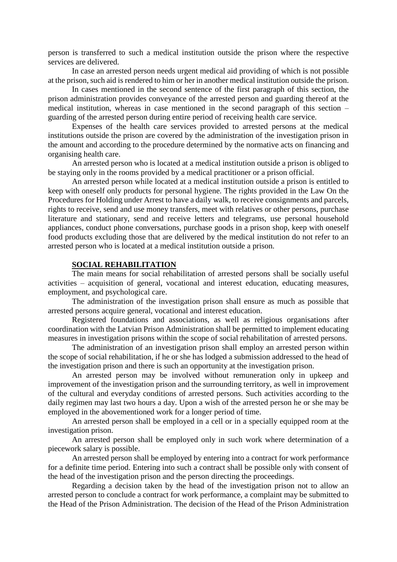person is transferred to such a medical institution outside the prison where the respective services are delivered.

In case an arrested person needs urgent medical aid providing of which is not possible at the prison, such aid is rendered to him or her in another medical institution outside the prison.

In cases mentioned in the second sentence of the first paragraph of this section, the prison administration provides conveyance of the arrested person and guarding thereof at the medical institution, whereas in case mentioned in the second paragraph of this section – guarding of the arrested person during entire period of receiving health care service.

Expenses of the health care services provided to arrested persons at the medical institutions outside the prison are covered by the administration of the investigation prison in the amount and according to the procedure determined by the normative acts on financing and organising health care.

An arrested person who is located at a medical institution outside a prison is obliged to be staying only in the rooms provided by a medical practitioner or a prison official.

An arrested person while located at a medical institution outside a prison is entitled to keep with oneself only products for personal hygiene. The rights provided in the Law On the Procedures for Holding under Arrest to have a daily walk, to receive consignments and parcels, rights to receive, send and use money transfers, meet with relatives or other persons, purchase literature and stationary, send and receive letters and telegrams, use personal household appliances, conduct phone conversations, purchase goods in a prison shop, keep with oneself food products excluding those that are delivered by the medical institution do not refer to an arrested person who is located at a medical institution outside a prison.

#### **SOCIAL REHABILITATION**

The main means for social rehabilitation of arrested persons shall be socially useful activities – acquisition of general, vocational and interest education, educating measures, employment, and psychological care.

The administration of the investigation prison shall ensure as much as possible that arrested persons acquire general, vocational and interest education.

Registered foundations and associations, as well as religious organisations after coordination with the Latvian Prison Administration shall be permitted to implement educating measures in investigation prisons within the scope of social rehabilitation of arrested persons.

The administration of an investigation prison shall employ an arrested person within the scope of social rehabilitation, if he or she has lodged a submission addressed to the head of the investigation prison and there is such an opportunity at the investigation prison.

An arrested person may be involved without remuneration only in upkeep and improvement of the investigation prison and the surrounding territory, as well in improvement of the cultural and everyday conditions of arrested persons. Such activities according to the daily regimen may last two hours a day. Upon a wish of the arrested person he or she may be employed in the abovementioned work for a longer period of time.

An arrested person shall be employed in a cell or in a specially equipped room at the investigation prison.

An arrested person shall be employed only in such work where determination of a piecework salary is possible.

An arrested person shall be employed by entering into a contract for work performance for a definite time period. Entering into such a contract shall be possible only with consent of the head of the investigation prison and the person directing the proceedings.

Regarding a decision taken by the head of the investigation prison not to allow an arrested person to conclude a contract for work performance, a complaint may be submitted to the Head of the Prison Administration. The decision of the Head of the Prison Administration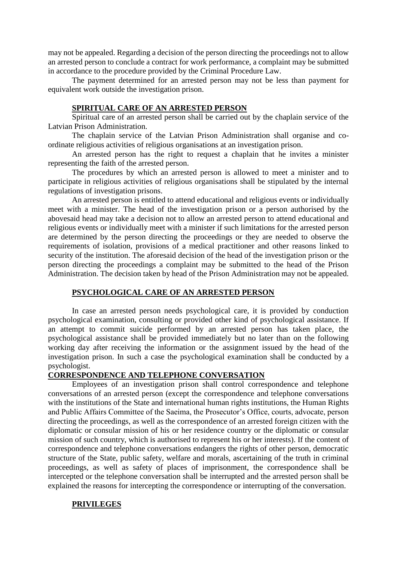may not be appealed. Regarding a decision of the person directing the proceedings not to allow an arrested person to conclude a contract for work performance, a complaint may be submitted in accordance to the procedure provided by the Criminal Procedure Law.

The payment determined for an arrested person may not be less than payment for equivalent work outside the investigation prison.

# **SPIRITUAL CARE OF AN ARRESTED PERSON**

Spiritual care of an arrested person shall be carried out by the chaplain service of the Latvian Prison Administration.

The chaplain service of the Latvian Prison Administration shall organise and coordinate religious activities of religious organisations at an investigation prison.

An arrested person has the right to request a chaplain that he invites a minister representing the faith of the arrested person.

The procedures by which an arrested person is allowed to meet a minister and to participate in religious activities of religious organisations shall be stipulated by the internal regulations of investigation prisons.

An arrested person is entitled to attend educational and religious events or individually meet with a minister. The head of the investigation prison or a person authorised by the abovesaid head may take a decision not to allow an arrested person to attend educational and religious events or individually meet with a minister if such limitations for the arrested person are determined by the person directing the proceedings or they are needed to observe the requirements of isolation, provisions of a medical practitioner and other reasons linked to security of the institution. The aforesaid decision of the head of the investigation prison or the person directing the proceedings a complaint may be submitted to the head of the Prison Administration. The decision taken by head of the Prison Administration may not be appealed.

## **PSYCHOLOGICAL CARE OF AN ARRESTED PERSON**

In case an arrested person needs psychological care, it is provided by conduction psychological examination, consulting or provided other kind of psychological assistance. If an attempt to commit suicide performed by an arrested person has taken place, the psychological assistance shall be provided immediately but no later than on the following working day after receiving the information or the assignment issued by the head of the investigation prison. In such a case the psychological examination shall be conducted by a psychologist.

## **CORRESPONDENCE AND TELEPHONE CONVERSATION**

Employees of an investigation prison shall control correspondence and telephone conversations of an arrested person (except the correspondence and telephone conversations with the institutions of the State and international human rights institutions, the Human Rights and Public Affairs Committee of the Saeima, the Prosecutor's Office, courts, advocate, person directing the proceedings, as well as the correspondence of an arrested foreign citizen with the diplomatic or consular mission of his or her residence country or the diplomatic or consular mission of such country, which is authorised to represent his or her interests). If the content of correspondence and telephone conversations endangers the rights of other person, democratic structure of the State, public safety, welfare and morals, ascertaining of the truth in criminal proceedings, as well as safety of places of imprisonment, the correspondence shall be intercepted or the telephone conversation shall be interrupted and the arrested person shall be explained the reasons for intercepting the correspondence or interrupting of the conversation.

## **PRIVILEGES**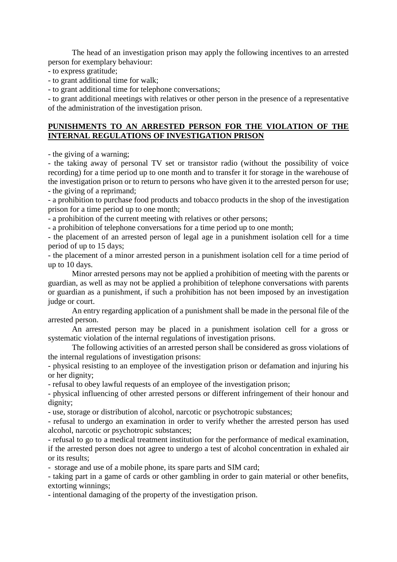The head of an investigation prison may apply the following incentives to an arrested person for exemplary behaviour:

- to express gratitude;

- to grant additional time for walk;

- to grant additional time for telephone conversations;

- to grant additional meetings with relatives or other person in the presence of a representative of the administration of the investigation prison.

# **PUNISHMENTS TO AN ARRESTED PERSON FOR THE VIOLATION OF THE INTERNAL REGULATIONS OF INVESTIGATION PRISON**

- the giving of a warning;

- the taking away of personal TV set or transistor radio (without the possibility of voice recording) for a time period up to one month and to transfer it for storage in the warehouse of the investigation prison or to return to persons who have given it to the arrested person for use; - the giving of a reprimand;

- a prohibition to purchase food products and tobacco products in the shop of the investigation prison for a time period up to one month;

- a prohibition of the current meeting with relatives or other persons;

- a prohibition of telephone conversations for a time period up to one month;

- the placement of an arrested person of legal age in a punishment isolation cell for a time period of up to 15 days;

- the placement of a minor arrested person in a punishment isolation cell for a time period of up to 10 days.

Minor arrested persons may not be applied a prohibition of meeting with the parents or guardian, as well as may not be applied a prohibition of telephone conversations with parents or guardian as a punishment, if such a prohibition has not been imposed by an investigation judge or court.

An entry regarding application of a punishment shall be made in the personal file of the arrested person.

An arrested person may be placed in a punishment isolation cell for a gross or systematic violation of the internal regulations of investigation prisons.

The following activities of an arrested person shall be considered as gross violations of the internal regulations of investigation prisons:

- physical resisting to an employee of the investigation prison or defamation and injuring his or her dignity;

- refusal to obey lawful requests of an employee of the investigation prison;

- physical influencing of other arrested persons or different infringement of their honour and dignity;

- use, storage or distribution of alcohol, narcotic or psychotropic substances;

- refusal to undergo an examination in order to verify whether the arrested person has used alcohol, narcotic or psychotropic substances;

- refusal to go to a medical treatment institution for the performance of medical examination, if the arrested person does not agree to undergo a test of alcohol concentration in exhaled air or its results;

- storage and use of a mobile phone, its spare parts and SIM card;

- taking part in a game of cards or other gambling in order to gain material or other benefits, extorting winnings;

- intentional damaging of the property of the investigation prison.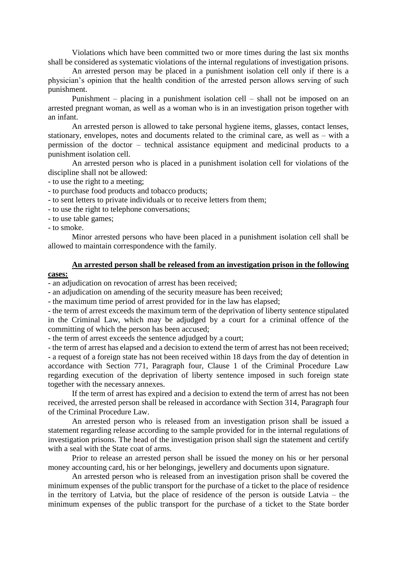Violations which have been committed two or more times during the last six months shall be considered as systematic violations of the internal regulations of investigation prisons.

An arrested person may be placed in a punishment isolation cell only if there is a physician's opinion that the health condition of the arrested person allows serving of such punishment.

Punishment – placing in a punishment isolation cell – shall not be imposed on an arrested pregnant woman, as well as a woman who is in an investigation prison together with an infant.

An arrested person is allowed to take personal hygiene items, glasses, contact lenses, stationary, envelopes, notes and documents related to the criminal care, as well as – with a permission of the doctor – technical assistance equipment and medicinal products to a punishment isolation cell.

An arrested person who is placed in a punishment isolation cell for violations of the discipline shall not be allowed:

- to use the right to a meeting;

- to purchase food products and tobacco products;

- to sent letters to private individuals or to receive letters from them;

- to use the right to telephone conversations;

- to use table games;

- to smoke.

Minor arrested persons who have been placed in a punishment isolation cell shall be allowed to maintain correspondence with the family.

# **An arrested person shall be released from an investigation prison in the following**

**cases:**

- an adjudication on revocation of arrest has been received;

- an adjudication on amending of the security measure has been received;

- the maximum time period of arrest provided for in the law has elapsed;

- the term of arrest exceeds the maximum term of the deprivation of liberty sentence stipulated in the Criminal Law, which may be adjudged by a court for a criminal offence of the committing of which the person has been accused;

- the term of arrest exceeds the sentence adjudged by a court;

- the term of arrest has elapsed and a decision to extend the term of arrest has not been received; - a request of a foreign state has not been received within 18 days from the day of detention in accordance with Section 771, Paragraph four, Clause 1 of the Criminal Procedure Law regarding execution of the deprivation of liberty sentence imposed in such foreign state together with the necessary annexes.

If the term of arrest has expired and a decision to extend the term of arrest has not been received, the arrested person shall be released in accordance with Section 314, Paragraph four of the Criminal Procedure Law.

An arrested person who is released from an investigation prison shall be issued a statement regarding release according to the sample provided for in the internal regulations of investigation prisons. The head of the investigation prison shall sign the statement and certify with a seal with the State coat of arms.

Prior to release an arrested person shall be issued the money on his or her personal money accounting card, his or her belongings, jewellery and documents upon signature.

An arrested person who is released from an investigation prison shall be covered the minimum expenses of the public transport for the purchase of a ticket to the place of residence in the territory of Latvia, but the place of residence of the person is outside Latvia – the minimum expenses of the public transport for the purchase of a ticket to the State border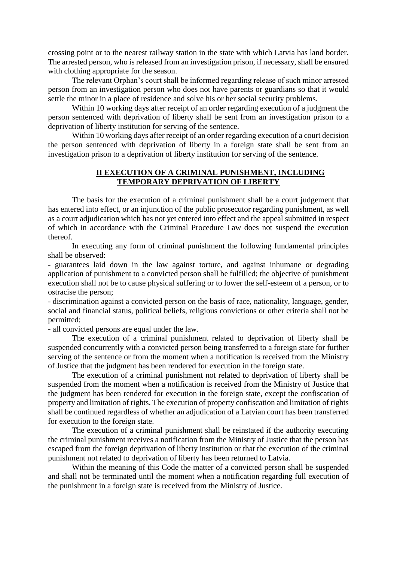crossing point or to the nearest railway station in the state with which Latvia has land border. The arrested person, who is released from an investigation prison, if necessary, shall be ensured with clothing appropriate for the season.

The relevant Orphan's court shall be informed regarding release of such minor arrested person from an investigation person who does not have parents or guardians so that it would settle the minor in a place of residence and solve his or her social security problems.

Within 10 working days after receipt of an order regarding execution of a judgment the person sentenced with deprivation of liberty shall be sent from an investigation prison to a deprivation of liberty institution for serving of the sentence.

Within 10 working days after receipt of an order regarding execution of a court decision the person sentenced with deprivation of liberty in a foreign state shall be sent from an investigation prison to a deprivation of liberty institution for serving of the sentence.

# **II EXECUTION OF A CRIMINAL PUNISHMENT, INCLUDING TEMPORARY DEPRIVATION OF LIBERTY**

The basis for the execution of a criminal punishment shall be a court judgement that has entered into effect, or an injunction of the public prosecutor regarding punishment, as well as a court adjudication which has not yet entered into effect and the appeal submitted in respect of which in accordance with the Criminal Procedure Law does not suspend the execution thereof.

In executing any form of criminal punishment the following fundamental principles shall be observed:

- guarantees laid down in the law against torture, and against inhumane or degrading application of punishment to a convicted person shall be fulfilled; the objective of punishment execution shall not be to cause physical suffering or to lower the self-esteem of a person, or to ostracise the person;

- discrimination against a convicted person on the basis of race, nationality, language, gender, social and financial status, political beliefs, religious convictions or other criteria shall not be permitted;

- all convicted persons are equal under the law.

The execution of a criminal punishment related to deprivation of liberty shall be suspended concurrently with a convicted person being transferred to a foreign state for further serving of the sentence or from the moment when a notification is received from the Ministry of Justice that the judgment has been rendered for execution in the foreign state.

The execution of a criminal punishment not related to deprivation of liberty shall be suspended from the moment when a notification is received from the Ministry of Justice that the judgment has been rendered for execution in the foreign state, except the confiscation of property and limitation of rights. The execution of property confiscation and limitation of rights shall be continued regardless of whether an adjudication of a Latvian court has been transferred for execution to the foreign state.

The execution of a criminal punishment shall be reinstated if the authority executing the criminal punishment receives a notification from the Ministry of Justice that the person has escaped from the foreign deprivation of liberty institution or that the execution of the criminal punishment not related to deprivation of liberty has been returned to Latvia.

Within the meaning of this Code the matter of a convicted person shall be suspended and shall not be terminated until the moment when a notification regarding full execution of the punishment in a foreign state is received from the Ministry of Justice.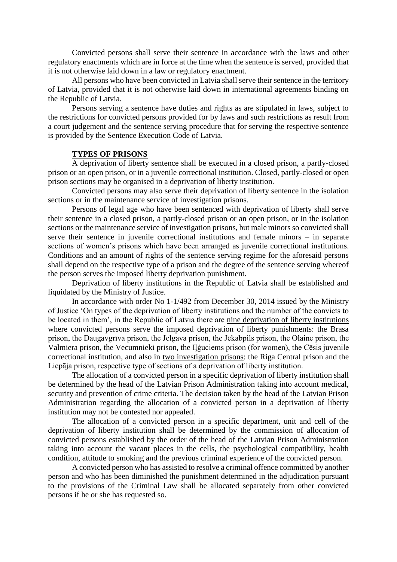Convicted persons shall serve their sentence in accordance with the laws and other regulatory enactments which are in force at the time when the sentence is served, provided that it is not otherwise laid down in a law or regulatory enactment.

All persons who have been convicted in Latvia shall serve their sentence in the territory of Latvia, provided that it is not otherwise laid down in international agreements binding on the Republic of Latvia.

Persons serving a sentence have duties and rights as are stipulated in laws, subject to the restrictions for convicted persons provided for by laws and such restrictions as result from a court judgement and the sentence serving procedure that for serving the respective sentence is provided by the Sentence Execution Code of Latvia.

## **TYPES OF PRISONS**

A deprivation of liberty sentence shall be executed in a closed prison, a partly-closed prison or an open prison, or in a juvenile correctional institution. Closed, partly-closed or open prison sections may be organised in a deprivation of liberty institution.

Convicted persons may also serve their deprivation of liberty sentence in the isolation sections or in the maintenance service of investigation prisons.

Persons of legal age who have been sentenced with deprivation of liberty shall serve their sentence in a closed prison, a partly-closed prison or an open prison, or in the isolation sections or the maintenance service of investigation prisons, but male minors so convicted shall serve their sentence in juvenile correctional institutions and female minors – in separate sections of women's prisons which have been arranged as juvenile correctional institutions. Conditions and an amount of rights of the sentence serving regime for the aforesaid persons shall depend on the respective type of a prison and the degree of the sentence serving whereof the person serves the imposed liberty deprivation punishment.

Deprivation of liberty institutions in the Republic of Latvia shall be established and liquidated by the Ministry of Justice.

In accordance with order No 1-1/492 from December 30, 2014 issued by the Ministry of Justice 'On types of the deprivation of liberty institutions and the number of the convicts to be located in them', in the Republic of Latvia there are nine deprivation of liberty institutions where convicted persons serve the imposed deprivation of liberty punishments: the Brasa prison, the Daugavgrīva prison, the Jelgava prison, the Jēkabpils prison, the Olaine prison, the Valmiera prison, the Vecumnieki prison, the Iļģuciems prison (for women), the Cēsis juvenile correctional institution, and also in two investigation prisons: the Riga Central prison and the Liepāja prison, respective type of sections of a deprivation of liberty institution.

The allocation of a convicted person in a specific deprivation of liberty institution shall be determined by the head of the Latvian Prison Administration taking into account medical, security and prevention of crime criteria. The decision taken by the head of the Latvian Prison Administration regarding the allocation of a convicted person in a deprivation of liberty institution may not be contested nor appealed.

The allocation of a convicted person in a specific department, unit and cell of the deprivation of liberty institution shall be determined by the commission of allocation of convicted persons established by the order of the head of the Latvian Prison Administration taking into account the vacant places in the cells, the psychological compatibility, health condition, attitude to smoking and the previous criminal experience of the convicted person.

A convicted person who has assisted to resolve a criminal offence committed by another person and who has been diminished the punishment determined in the adjudication pursuant to the provisions of the Criminal Law shall be allocated separately from other convicted persons if he or she has requested so.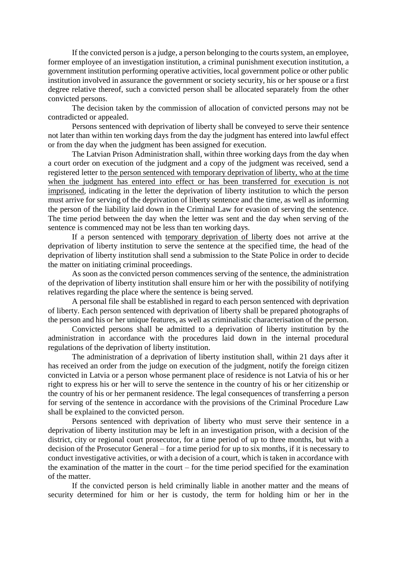If the convicted person is a judge, a person belonging to the courts system, an employee, former employee of an investigation institution, a criminal punishment execution institution, a government institution performing operative activities, local government police or other public institution involved in assurance the government or society security, his or her spouse or a first degree relative thereof, such a convicted person shall be allocated separately from the other convicted persons.

The decision taken by the commission of allocation of convicted persons may not be contradicted or appealed.

Persons sentenced with deprivation of liberty shall be conveyed to serve their sentence not later than within ten working days from the day the judgment has entered into lawful effect or from the day when the judgment has been assigned for execution.

The Latvian Prison Administration shall, within three working days from the day when a court order on execution of the judgment and a copy of the judgment was received, send a registered letter to the person sentenced with temporary deprivation of liberty, who at the time when the judgment has entered into effect or has been transferred for execution is not imprisoned, indicating in the letter the deprivation of liberty institution to which the person must arrive for serving of the deprivation of liberty sentence and the time, as well as informing the person of the liability laid down in the Criminal Law for evasion of serving the sentence. The time period between the day when the letter was sent and the day when serving of the sentence is commenced may not be less than ten working days.

If a person sentenced with temporary deprivation of liberty does not arrive at the deprivation of liberty institution to serve the sentence at the specified time, the head of the deprivation of liberty institution shall send a submission to the State Police in order to decide the matter on initiating criminal proceedings.

As soon as the convicted person commences serving of the sentence, the administration of the deprivation of liberty institution shall ensure him or her with the possibility of notifying relatives regarding the place where the sentence is being served.

A personal file shall be established in regard to each person sentenced with deprivation of liberty. Each person sentenced with deprivation of liberty shall be prepared photographs of the person and his or her unique features, as well as criminalistic characterisation of the person.

Convicted persons shall be admitted to a deprivation of liberty institution by the administration in accordance with the procedures laid down in the internal procedural regulations of the deprivation of liberty institution.

The administration of a deprivation of liberty institution shall, within 21 days after it has received an order from the judge on execution of the judgment, notify the foreign citizen convicted in Latvia or a person whose permanent place of residence is not Latvia of his or her right to express his or her will to serve the sentence in the country of his or her citizenship or the country of his or her permanent residence. The legal consequences of transferring a person for serving of the sentence in accordance with the provisions of the Criminal Procedure Law shall be explained to the convicted person.

Persons sentenced with deprivation of liberty who must serve their sentence in a deprivation of liberty institution may be left in an investigation prison, with a decision of the district, city or regional court prosecutor, for a time period of up to three months, but with a decision of the Prosecutor General – for a time period for up to six months, if it is necessary to conduct investigative activities, or with a decision of a court, which is taken in accordance with the examination of the matter in the court – for the time period specified for the examination of the matter.

If the convicted person is held criminally liable in another matter and the means of security determined for him or her is custody, the term for holding him or her in the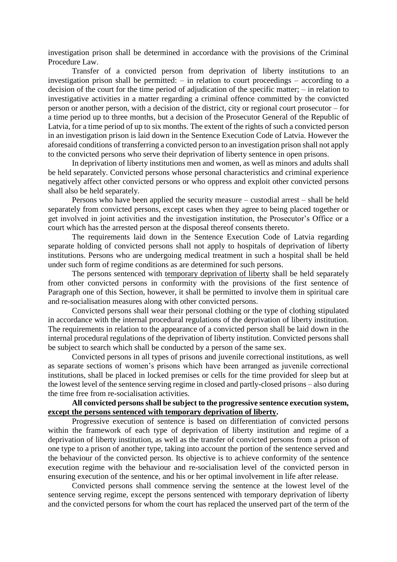investigation prison shall be determined in accordance with the provisions of the Criminal Procedure Law.

Transfer of a convicted person from deprivation of liberty institutions to an investigation prison shall be permitted: – in relation to court proceedings – according to a decision of the court for the time period of adjudication of the specific matter; – in relation to investigative activities in a matter regarding a criminal offence committed by the convicted person or another person, with a decision of the district, city or regional court prosecutor – for a time period up to three months, but a decision of the Prosecutor General of the Republic of Latvia, for a time period of up to six months. The extent of the rights of such a convicted person in an investigation prison is laid down in the Sentence Execution Code of Latvia. However the aforesaid conditions of transferring a convicted person to an investigation prison shall not apply to the convicted persons who serve their deprivation of liberty sentence in open prisons.

In deprivation of liberty institutions men and women, as well as minors and adults shall be held separately. Convicted persons whose personal characteristics and criminal experience negatively affect other convicted persons or who oppress and exploit other convicted persons shall also be held separately.

Persons who have been applied the security measure – custodial arrest – shall be held separately from convicted persons, except cases when they agree to being placed together or get involved in joint activities and the investigation institution, the Prosecutor's Office or a court which has the arrested person at the disposal thereof consents thereto.

The requirements laid down in the Sentence Execution Code of Latvia regarding separate holding of convicted persons shall not apply to hospitals of deprivation of liberty institutions. Persons who are undergoing medical treatment in such a hospital shall be held under such form of regime conditions as are determined for such persons.

The persons sentenced with temporary deprivation of liberty shall be held separately from other convicted persons in conformity with the provisions of the first sentence of Paragraph one of this Section, however, it shall be permitted to involve them in spiritual care and re-socialisation measures along with other convicted persons.

Convicted persons shall wear their personal clothing or the type of clothing stipulated in accordance with the internal procedural regulations of the deprivation of liberty institution. The requirements in relation to the appearance of a convicted person shall be laid down in the internal procedural regulations of the deprivation of liberty institution. Convicted persons shall be subject to search which shall be conducted by a person of the same sex.

Convicted persons in all types of prisons and juvenile correctional institutions, as well as separate sections of women's prisons which have been arranged as juvenile correctional institutions, shall be placed in locked premises or cells for the time provided for sleep but at the lowest level of the sentence serving regime in closed and partly-closed prisons – also during the time free from re-socialisation activities.

## **All convicted persons shall be subject to the progressive sentence execution system, except the persons sentenced with temporary deprivation of liberty.**

Progressive execution of sentence is based on differentiation of convicted persons within the framework of each type of deprivation of liberty institution and regime of a deprivation of liberty institution, as well as the transfer of convicted persons from a prison of one type to a prison of another type, taking into account the portion of the sentence served and the behaviour of the convicted person. Its objective is to achieve conformity of the sentence execution regime with the behaviour and re-socialisation level of the convicted person in ensuring execution of the sentence, and his or her optimal involvement in life after release.

Convicted persons shall commence serving the sentence at the lowest level of the sentence serving regime, except the persons sentenced with temporary deprivation of liberty and the convicted persons for whom the court has replaced the unserved part of the term of the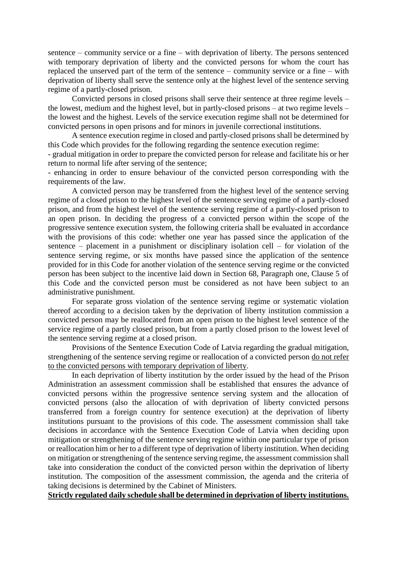sentence – community service or a fine – with deprivation of liberty. The persons sentenced with temporary deprivation of liberty and the convicted persons for whom the court has replaced the unserved part of the term of the sentence – community service or a fine – with deprivation of liberty shall serve the sentence only at the highest level of the sentence serving regime of a partly-closed prison.

Convicted persons in closed prisons shall serve their sentence at three regime levels – the lowest, medium and the highest level, but in partly-closed prisons – at two regime levels – the lowest and the highest. Levels of the service execution regime shall not be determined for convicted persons in open prisons and for minors in juvenile correctional institutions.

A sentence execution regime in closed and partly-closed prisons shall be determined by this Code which provides for the following regarding the sentence execution regime:

- gradual mitigation in order to prepare the convicted person for release and facilitate his or her return to normal life after serving of the sentence;

- enhancing in order to ensure behaviour of the convicted person corresponding with the requirements of the law.

A convicted person may be transferred from the highest level of the sentence serving regime of a closed prison to the highest level of the sentence serving regime of a partly-closed prison, and from the highest level of the sentence serving regime of a partly-closed prison to an open prison. In deciding the progress of a convicted person within the scope of the progressive sentence execution system, the following criteria shall be evaluated in accordance with the provisions of this code: whether one year has passed since the application of the sentence – placement in a punishment or disciplinary isolation cell – for violation of the sentence serving regime, or six months have passed since the application of the sentence provided for in this Code for another violation of the sentence serving regime or the convicted person has been subject to the incentive laid down in Section 68, Paragraph one, Clause 5 of this Code and the convicted person must be considered as not have been subject to an administrative punishment.

For separate gross violation of the sentence serving regime or systematic violation thereof according to a decision taken by the deprivation of liberty institution commission a convicted person may be reallocated from an open prison to the highest level sentence of the service regime of a partly closed prison, but from a partly closed prison to the lowest level of the sentence serving regime at a closed prison.

Provisions of the Sentence Execution Code of Latvia regarding the gradual mitigation, strengthening of the sentence serving regime or reallocation of a convicted person do not refer to the convicted persons with temporary deprivation of liberty.

In each deprivation of liberty institution by the order issued by the head of the Prison Administration an assessment commission shall be established that ensures the advance of convicted persons within the progressive sentence serving system and the allocation of convicted persons (also the allocation of with deprivation of liberty convicted persons transferred from a foreign country for sentence execution) at the deprivation of liberty institutions pursuant to the provisions of this code. The assessment commission shall take decisions in accordance with the Sentence Execution Code of Latvia when deciding upon mitigation or strengthening of the sentence serving regime within one particular type of prison or reallocation him or her to a different type of deprivation of liberty institution. When deciding on mitigation or strengthening of the sentence serving regime, the assessment commission shall take into consideration the conduct of the convicted person within the deprivation of liberty institution. The composition of the assessment commission, the agenda and the criteria of taking decisions is determined by the Cabinet of Ministers.

**Strictly regulated daily schedule shall be determined in deprivation of liberty institutions.**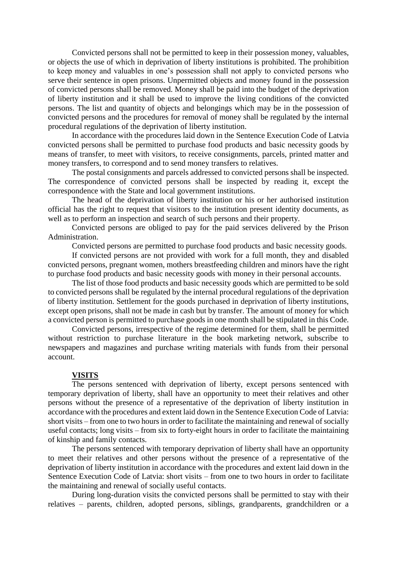Convicted persons shall not be permitted to keep in their possession money, valuables, or objects the use of which in deprivation of liberty institutions is prohibited. The prohibition to keep money and valuables in one's possession shall not apply to convicted persons who serve their sentence in open prisons. Unpermitted objects and money found in the possession of convicted persons shall be removed. Money shall be paid into the budget of the deprivation of liberty institution and it shall be used to improve the living conditions of the convicted persons. The list and quantity of objects and belongings which may be in the possession of convicted persons and the procedures for removal of money shall be regulated by the internal procedural regulations of the deprivation of liberty institution.

In accordance with the procedures laid down in the Sentence Execution Code of Latvia convicted persons shall be permitted to purchase food products and basic necessity goods by means of transfer, to meet with visitors, to receive consignments, parcels, printed matter and money transfers, to correspond and to send money transfers to relatives.

The postal consignments and parcels addressed to convicted persons shall be inspected. The correspondence of convicted persons shall be inspected by reading it, except the correspondence with the State and local government institutions.

The head of the deprivation of liberty institution or his or her authorised institution official has the right to request that visitors to the institution present identity documents, as well as to perform an inspection and search of such persons and their property.

Convicted persons are obliged to pay for the paid services delivered by the Prison Administration.

Convicted persons are permitted to purchase food products and basic necessity goods.

If convicted persons are not provided with work for a full month, they and disabled convicted persons, pregnant women, mothers breastfeeding children and minors have the right to purchase food products and basic necessity goods with money in their personal accounts.

The list of those food products and basic necessity goods which are permitted to be sold to convicted persons shall be regulated by the internal procedural regulations of the deprivation of liberty institution. Settlement for the goods purchased in deprivation of liberty institutions, except open prisons, shall not be made in cash but by transfer. The amount of money for which a convicted person is permitted to purchase goods in one month shall be stipulated in this Code.

Convicted persons, irrespective of the regime determined for them, shall be permitted without restriction to purchase literature in the book marketing network, subscribe to newspapers and magazines and purchase writing materials with funds from their personal account.

#### **VISITS**

The persons sentenced with deprivation of liberty, except persons sentenced with temporary deprivation of liberty, shall have an opportunity to meet their relatives and other persons without the presence of a representative of the deprivation of liberty institution in accordance with the procedures and extent laid down in the Sentence Execution Code of Latvia: short visits – from one to two hours in order to facilitate the maintaining and renewal of socially useful contacts; long visits – from six to forty-eight hours in order to facilitate the maintaining of kinship and family contacts.

The persons sentenced with temporary deprivation of liberty shall have an opportunity to meet their relatives and other persons without the presence of a representative of the deprivation of liberty institution in accordance with the procedures and extent laid down in the Sentence Execution Code of Latvia: short visits – from one to two hours in order to facilitate the maintaining and renewal of socially useful contacts.

During long-duration visits the convicted persons shall be permitted to stay with their relatives – parents, children, adopted persons, siblings, grandparents, grandchildren or a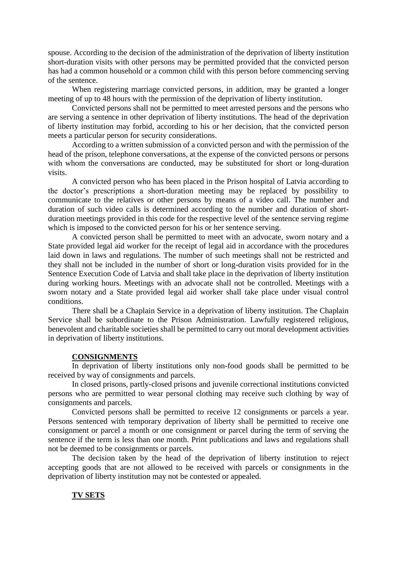spouse. According to the decision of the administration of the deprivation of liberty institution short-duration visits with other persons may be permitted provided that the convicted person has had a common household or a common child with this person before commencing serving of the sentence.

When registering marriage convicted persons, in addition, may be granted a longer meeting of up to 48 hours with the permission of the deprivation of liberty institution.

Convicted persons shall not be permitted to meet arrested persons and the persons who are serving a sentence in other deprivation of liberty institutions. The head of the deprivation of liberty institution may forbid, according to his or her decision, that the convicted person meets a particular person for security considerations.

According to a written submission of a convicted person and with the permission of the head of the prison, telephone conversations, at the expense of the convicted persons or persons with whom the conversations are conducted, may be substituted for short or long-duration visits.

A convicted person who has been placed in the Prison hospital of Latvia according to the doctor's prescriptions a short-duration meeting may be replaced by possibility to communicate to the relatives or other persons by means of a video call. The number and duration of such video calls is determined according to the number and duration of shortduration meetings provided in this code for the respective level of the sentence serving regime which is imposed to the convicted person for his or her sentence serving.

A convicted person shall be permitted to meet with an advocate, sworn notary and a State provided legal aid worker for the receipt of legal aid in accordance with the procedures laid down in laws and regulations. The number of such meetings shall not be restricted and they shall not be included in the number of short or long-duration visits provided for in the Sentence Execution Code of Latvia and shall take place in the deprivation of liberty institution during working hours. Meetings with an advocate shall not be controlled. Meetings with a sworn notary and a State provided legal aid worker shall take place under visual control conditions.

There shall be a Chaplain Service in a deprivation of liberty institution. The Chaplain Service shall be subordinate to the Prison Administration. Lawfully registered religious, benevolent and charitable societies shall be permitted to carry out moral development activities in deprivation of liberty institutions.

#### **CONSIGNMENTS**

In deprivation of liberty institutions only non-food goods shall be permitted to be received by way of consignments and parcels.

In closed prisons, partly-closed prisons and juvenile correctional institutions convicted persons who are permitted to wear personal clothing may receive such clothing by way of consignments and parcels.

Convicted persons shall be permitted to receive 12 consignments or parcels a year. Persons sentenced with temporary deprivation of liberty shall be permitted to receive one consignment or parcel a month or one consignment or parcel during the term of serving the sentence if the term is less than one month. Print publications and laws and regulations shall not be deemed to be consignments or parcels.

The decision taken by the head of the deprivation of liberty institution to reject accepting goods that are not allowed to be received with parcels or consignments in the deprivation of liberty institution may not be contested or appealed.

## **TV SETS**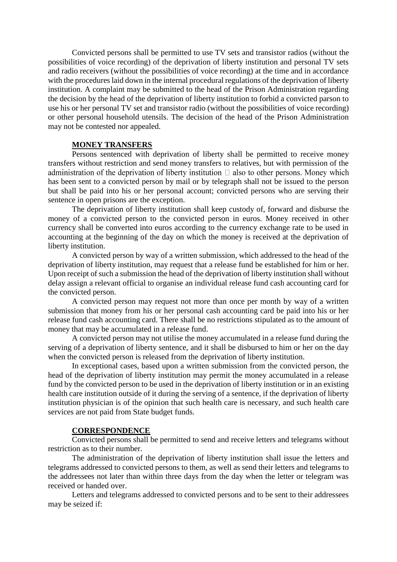Convicted persons shall be permitted to use TV sets and transistor radios (without the possibilities of voice recording) of the deprivation of liberty institution and personal TV sets and radio receivers (without the possibilities of voice recording) at the time and in accordance with the procedures laid down in the internal procedural regulations of the deprivation of liberty institution. A complaint may be submitted to the head of the Prison Administration regarding the decision by the head of the deprivation of liberty institution to forbid a convicted parson to use his or her personal TV set and transistor radio (without the possibilities of voice recording) or other personal household utensils. The decision of the head of the Prison Administration may not be contested nor appealed.

## **MONEY TRANSFERS**

Persons sentenced with deprivation of liberty shall be permitted to receive money transfers without restriction and send money transfers to relatives, but with permission of the administration of the deprivation of liberty institution  $\Box$  also to other persons. Money which has been sent to a convicted person by mail or by telegraph shall not be issued to the person but shall be paid into his or her personal account; convicted persons who are serving their sentence in open prisons are the exception.

The deprivation of liberty institution shall keep custody of, forward and disburse the money of a convicted person to the convicted person in euros. Money received in other currency shall be converted into euros according to the currency exchange rate to be used in accounting at the beginning of the day on which the money is received at the deprivation of liberty institution.

A convicted person by way of a written submission, which addressed to the head of the deprivation of liberty institution, may request that a release fund be established for him or her. Upon receipt of such a submission the head of the deprivation of liberty institution shall without delay assign a relevant official to organise an individual release fund cash accounting card for the convicted person.

A convicted person may request not more than once per month by way of a written submission that money from his or her personal cash accounting card be paid into his or her release fund cash accounting card. There shall be no restrictions stipulated as to the amount of money that may be accumulated in a release fund.

A convicted person may not utilise the money accumulated in a release fund during the serving of a deprivation of liberty sentence, and it shall be disbursed to him or her on the day when the convicted person is released from the deprivation of liberty institution.

In exceptional cases, based upon a written submission from the convicted person, the head of the deprivation of liberty institution may permit the money accumulated in a release fund by the convicted person to be used in the deprivation of liberty institution or in an existing health care institution outside of it during the serving of a sentence, if the deprivation of liberty institution physician is of the opinion that such health care is necessary, and such health care services are not paid from State budget funds.

#### **CORRESPONDENCE**

Convicted persons shall be permitted to send and receive letters and telegrams without restriction as to their number.

The administration of the deprivation of liberty institution shall issue the letters and telegrams addressed to convicted persons to them, as well as send their letters and telegrams to the addressees not later than within three days from the day when the letter or telegram was received or handed over.

Letters and telegrams addressed to convicted persons and to be sent to their addressees may be seized if: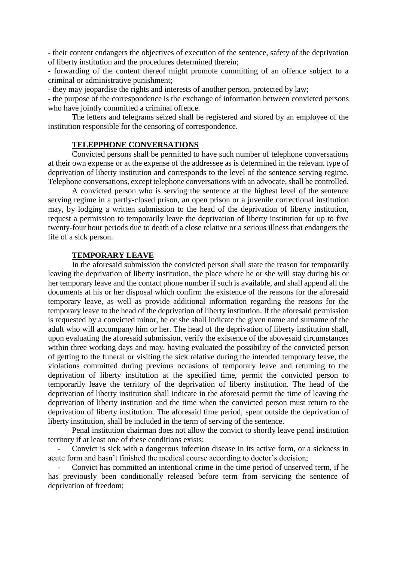- their content endangers the objectives of execution of the sentence, safety of the deprivation of liberty institution and the procedures determined therein;

- forwarding of the content thereof might promote committing of an offence subject to a criminal or administrative punishment;

- they may jeopardise the rights and interests of another person, protected by law;

- the purpose of the correspondence is the exchange of information between convicted persons who have jointly committed a criminal offence.

The letters and telegrams seized shall be registered and stored by an employee of the institution responsible for the censoring of correspondence.

## **TELEPPHONE CONVERSATIONS**

Convicted persons shall be permitted to have such number of telephone conversations at their own expense or at the expense of the addressee as is determined in the relevant type of deprivation of liberty institution and corresponds to the level of the sentence serving regime. Telephone conversations, except telephone conversations with an advocate, shall be controlled.

A convicted person who is serving the sentence at the highest level of the sentence serving regime in a partly-closed prison, an open prison or a juvenile correctional institution may, by lodging a written submission to the head of the deprivation of liberty institution, request a permission to temporarily leave the deprivation of liberty institution for up to five twenty-four hour periods due to death of a close relative or a serious illness that endangers the life of a sick person.

#### **TEMPORARY LEAVE**

In the aforesaid submission the convicted person shall state the reason for temporarily leaving the deprivation of liberty institution, the place where he or she will stay during his or her temporary leave and the contact phone number if such is available, and shall append all the documents at his or her disposal which confirm the existence of the reasons for the aforesaid temporary leave, as well as provide additional information regarding the reasons for the temporary leave to the head of the deprivation of liberty institution. If the aforesaid permission is requested by a convicted minor, he or she shall indicate the given name and surname of the adult who will accompany him or her. The head of the deprivation of liberty institution shall, upon evaluating the aforesaid submission, verify the existence of the abovesaid circumstances within three working days and may, having evaluated the possibility of the convicted person of getting to the funeral or visiting the sick relative during the intended temporary leave, the violations committed during previous occasions of temporary leave and returning to the deprivation of liberty institution at the specified time, permit the convicted person to temporarily leave the territory of the deprivation of liberty institution. The head of the deprivation of liberty institution shall indicate in the aforesaid permit the time of leaving the deprivation of liberty institution and the time when the convicted person must return to the deprivation of liberty institution. The aforesaid time period, spent outside the deprivation of liberty institution, shall be included in the term of serving of the sentence.

Penal institution chairman does not allow the convict to shortly leave penal institution territory if at least one of these conditions exists:

- Convict is sick with a dangerous infection disease in its active form, or a sickness in acute form and hasn't finished the medical course according to doctor's decision;

- Convict has committed an intentional crime in the time period of unserved term, if he has previously been conditionally released before term from servicing the sentence of deprivation of freedom;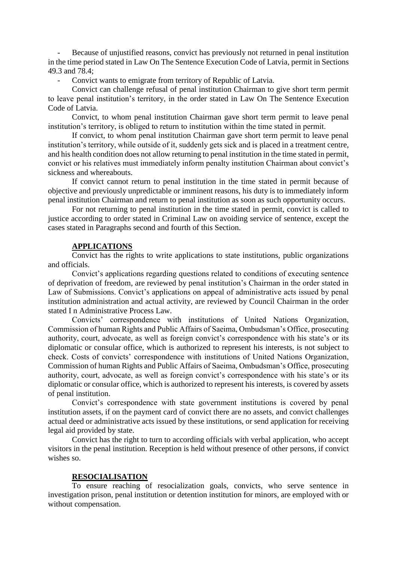Because of unjustified reasons, convict has previously not returned in penal institution in the time period stated i[n Law On The Sentence Execution Code of Latvia,](http://www.vvc.gov.lv/export/sites/default/docs/LRTA/Likumi/Sentence_Execution_Code.doc) permit in Sections 49.3 and 78.4;

Convict wants to emigrate from territory of Republic of Latvia.

Convict can challenge refusal of penal institution Chairman to give short term permit to leave penal institution's territory, in the order stated in [Law On The Sentence Execution](http://www.vvc.gov.lv/export/sites/default/docs/LRTA/Likumi/Sentence_Execution_Code.doc)  [Code of Latvia.](http://www.vvc.gov.lv/export/sites/default/docs/LRTA/Likumi/Sentence_Execution_Code.doc)

Convict, to whom penal institution Chairman gave short term permit to leave penal institution's territory, is obliged to return to institution within the time stated in permit.

If convict, to whom penal institution Chairman gave short term permit to leave penal institution's territory, while outside of it, suddenly gets sick and is placed in a treatment centre, and his health condition does not allow returning to penal institution in the time stated in permit, convict or his relatives must immediately inform penalty institution Chairman about convict's sickness and whereabouts.

If convict cannot return to penal institution in the time stated in permit because of objective and previously unpredictable or imminent reasons, his duty is to immediately inform penal institution Chairman and return to penal institution as soon as such opportunity occurs.

For not returning to penal institution in the time stated in permit, convict is called to justice according to order stated in Criminal Law on avoiding service of sentence, except the cases stated in Paragraphs second and fourth of this Section.

#### **APPLICATIONS**

Convict has the rights to write applications to state institutions, public organizations and officials.

Convict's applications regarding questions related to conditions of executing sentence of deprivation of freedom, are reviewed by penal institution's Chairman in the order stated in Law of Submissions. Convict's applications on appeal of administrative acts issued by penal institution administration and actual activity, are reviewed by Council Chairman in the order stated I n Administrative Process Law.

Convicts' correspondence with institutions of United Nations Organization, Commission of human Rights and Public Affairs of Saeima, Ombudsman's Office, prosecuting authority, court, advocate, as well as foreign convict's correspondence with his state's or its diplomatic or consular office, which is authorized to represent his interests, is not subject to check. Costs of convicts' correspondence with institutions of United Nations Organization, Commission of human Rights and Public Affairs of Saeima, Ombudsman's Office, prosecuting authority, court, advocate, as well as foreign convict's correspondence with his state's or its diplomatic or consular office, which is authorized to represent his interests, is covered by assets of penal institution.

Convict's correspondence with state government institutions is covered by penal institution assets, if on the payment card of convict there are no assets, and convict challenges actual deed or administrative acts issued by these institutions, or send application for receiving legal aid provided by state.

Convict has the right to turn to according officials with verbal application, who accept visitors in the penal institution. Reception is held without presence of other persons, if convict wishes so.

#### **RESOCIALISATION**

To ensure reaching of resocialization goals, convicts, who serve sentence in investigation prison, penal institution or detention institution for minors, are employed with or without compensation.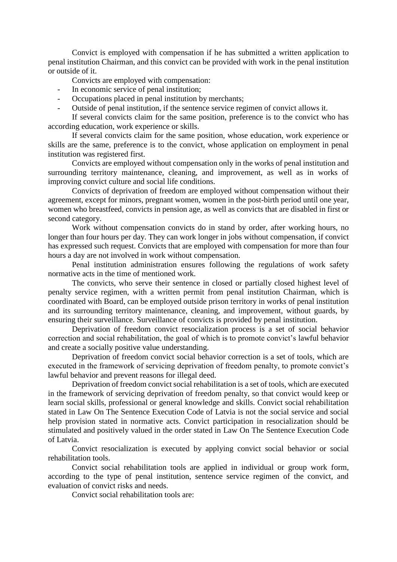Convict is employed with compensation if he has submitted a written application to penal institution Chairman, and this convict can be provided with work in the penal institution or outside of it.

Convicts are employed with compensation:

- In economic service of penal institution;
- Occupations placed in penal institution by merchants;
- Outside of penal institution, if the sentence service regimen of convict allows it.

If several convicts claim for the same position, preference is to the convict who has according education, work experience or skills.

If several convicts claim for the same position, whose education, work experience or skills are the same, preference is to the convict, whose application on employment in penal institution was registered first.

Convicts are employed without compensation only in the works of penal institution and surrounding territory maintenance, cleaning, and improvement, as well as in works of improving convict culture and social life conditions.

Convicts of deprivation of freedom are employed without compensation without their agreement, except for minors, pregnant women, women in the post-birth period until one year, women who breastfeed, convicts in pension age, as well as convicts that are disabled in first or second category.

Work without compensation convicts do in stand by order, after working hours, no longer than four hours per day. They can work longer in jobs without compensation, if convict has expressed such request. Convicts that are employed with compensation for more than four hours a day are not involved in work without compensation.

Penal institution administration ensures following the regulations of work safety normative acts in the time of mentioned work.

The convicts, who serve their sentence in closed or partially closed highest level of penalty service regimen, with a written permit from penal institution Chairman, which is coordinated with Board, can be employed outside prison territory in works of penal institution and its surrounding territory maintenance, cleaning, and improvement, without guards, by ensuring their surveillance. Surveillance of convicts is provided by penal institution.

Deprivation of freedom convict resocialization process is a set of social behavior correction and social rehabilitation, the goal of which is to promote convict's lawful behavior and create a socially positive value understanding.

Deprivation of freedom convict social behavior correction is a set of tools, which are executed in the framework of servicing deprivation of freedom penalty, to promote convict's lawful behavior and prevent reasons for illegal deed.

Deprivation of freedom convict social rehabilitation is a set of tools, which are executed in the framework of servicing deprivation of freedom penalty, so that convict would keep or learn social skills, professional or general knowledge and skills. Convict social rehabilitation stated in [Law On The Sentence Execution Code of Latvia](http://www.vvc.gov.lv/export/sites/default/docs/LRTA/Likumi/Sentence_Execution_Code.doc) is not the social service and social help provision stated in normative acts. Convict participation in resocialization should be stimulated and positively valued in the order stated in [Law On The Sentence Execution Code](http://www.vvc.gov.lv/export/sites/default/docs/LRTA/Likumi/Sentence_Execution_Code.doc)  [of Latvia.](http://www.vvc.gov.lv/export/sites/default/docs/LRTA/Likumi/Sentence_Execution_Code.doc)

Convict resocialization is executed by applying convict social behavior or social rehabilitation tools.

Convict social rehabilitation tools are applied in individual or group work form, according to the type of penal institution, sentence service regimen of the convict, and evaluation of convict risks and needs.

Convict social rehabilitation tools are: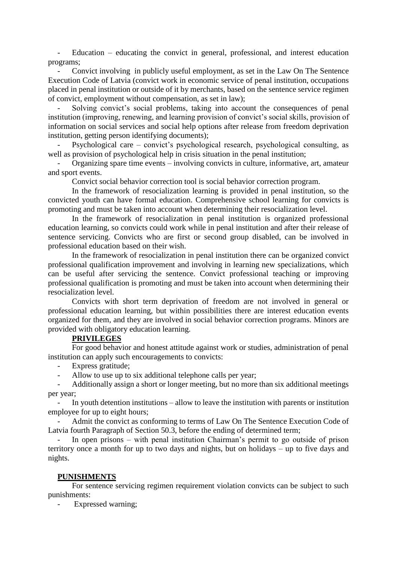$Eductation - education$  – educating the convict in general, professional, and interest education programs;

Convict involving in publicly useful employment, as set in the Law On The Sentence [Execution Code of Latvia](http://www.vvc.gov.lv/export/sites/default/docs/LRTA/Likumi/Sentence_Execution_Code.doc) (convict work in economic service of penal institution, occupations placed in penal institution or outside of it by merchants, based on the sentence service regimen of convict, employment without compensation, as set in law);

- Solving convict's social problems, taking into account the consequences of penal institution (improving, renewing, and learning provision of convict's social skills, provision of information on social services and social help options after release from freedom deprivation institution, getting person identifying documents);

- Psychological care – convict's psychological research, psychological consulting, as well as provision of psychological help in crisis situation in the penal institution;

- Organizing spare time events – involving convicts in culture, informative, art, amateur and sport events.

Convict social behavior correction tool is social behavior correction program.

In the framework of resocialization learning is provided in penal institution, so the convicted youth can have formal education. Comprehensive school learning for convicts is promoting and must be taken into account when determining their resocialization level.

In the framework of resocialization in penal institution is organized professional education learning, so convicts could work while in penal institution and after their release of sentence servicing. Convicts who are first or second group disabled, can be involved in professional education based on their wish.

In the framework of resocialization in penal institution there can be organized convict professional qualification improvement and involving in learning new specializations, which can be useful after servicing the sentence. Convict professional teaching or improving professional qualification is promoting and must be taken into account when determining their resocialization level.

Convicts with short term deprivation of freedom are not involved in general or professional education learning, but within possibilities there are interest education events organized for them, and they are involved in social behavior correction programs. Minors are provided with obligatory education learning.

## **PRIVILEGES**

For good behavior and honest attitude against work or studies, administration of penal institution can apply such encouragements to convicts:

- Express gratitude;
- Allow to use up to six additional telephone calls per year;

- Additionally assign a short or longer meeting, but no more than six additional meetings per year;

- In youth detention institutions – allow to leave the institution with parents or institution employee for up to eight hours;

- Admit the convict as conforming to terms of [Law On The Sentence Execution Code of](http://www.vvc.gov.lv/export/sites/default/docs/LRTA/Likumi/Sentence_Execution_Code.doc)  [Latvia](http://www.vvc.gov.lv/export/sites/default/docs/LRTA/Likumi/Sentence_Execution_Code.doc) fourth Paragraph of Section 50.3, before the ending of determined term;

- In open prisons – with penal institution Chairman's permit to go outside of prison territory once a month for up to two days and nights, but on holidays – up to five days and nights.

### **PUNISHMENTS**

For sentence servicing regimen requirement violation convicts can be subject to such punishments:

Expressed warning;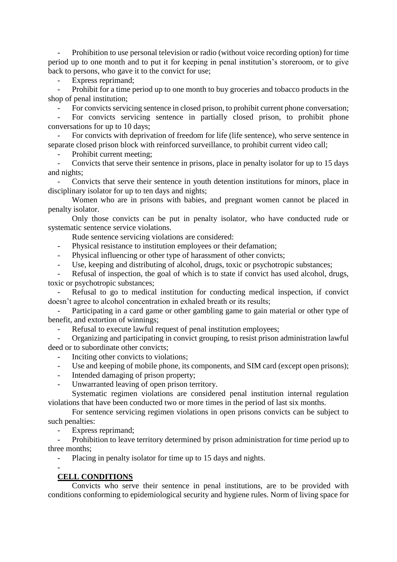- Prohibition to use personal television or radio (without voice recording option) for time period up to one month and to put it for keeping in penal institution's storeroom, or to give back to persons, who gave it to the convict for use;

Express reprimand;

Prohibit for a time period up to one month to buy groceries and tobacco products in the shop of penal institution;

For convicts servicing sentence in closed prison, to prohibit current phone conversation;

For convicts servicing sentence in partially closed prison, to prohibit phone conversations for up to 10 days;

- For convicts with deprivation of freedom for life (life sentence), who serve sentence in separate closed prison block with reinforced surveillance, to prohibit current video call;

Prohibit current meeting;

Convicts that serve their sentence in prisons, place in penalty isolator for up to 15 days and nights;

- Convicts that serve their sentence in youth detention institutions for minors, place in disciplinary isolator for up to ten days and nights;

Women who are in prisons with babies, and pregnant women cannot be placed in penalty isolator.

Only those convicts can be put in penalty isolator, who have conducted rude or systematic sentence service violations.

Rude sentence servicing violations are considered:

Physical resistance to institution employees or their defamation;

Physical influencing or other type of harassment of other convicts;

Use, keeping and distributing of alcohol, drugs, toxic or psychotropic substances;

Refusal of inspection, the goal of which is to state if convict has used alcohol, drugs, toxic or psychotropic substances;

Refusal to go to medical institution for conducting medical inspection, if convict doesn't agree to alcohol concentration in exhaled breath or its results;

Participating in a card game or other gambling game to gain material or other type of benefit, and extortion of winnings;

Refusal to execute lawful request of penal institution employees;

- Organizing and participating in convict grouping, to resist prison administration lawful deed or to subordinate other convicts;

- Inciting other convicts to violations;
- Use and keeping of mobile phone, its components, and SIM card (except open prisons);
- Intended damaging of prison property;
- Unwarranted leaving of open prison territory.

Systematic regimen violations are considered penal institution internal regulation violations that have been conducted two or more times in the period of last six months.

For sentence servicing regimen violations in open prisons convicts can be subject to such penalties:

Express reprimand;

Prohibition to leave territory determined by prison administration for time period up to three months;

Placing in penalty isolator for time up to 15 days and nights.

# **CELL CONDITIONS**

-

Convicts who serve their sentence in penal institutions, are to be provided with conditions conforming to epidemiological security and hygiene rules. Norm of living space for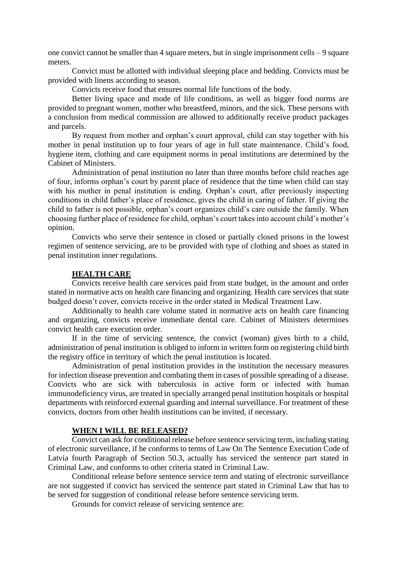one convict cannot be smaller than 4 square meters, but in single imprisonment cells – 9 square meters.

Convict must be allotted with individual sleeping place and bedding. Convicts must be provided with linens according to season.

Convicts receive food that ensures normal life functions of the body.

Better living space and mode of life conditions, as well as bigger food norms are provided to pregnant women, mother who breastfeed, minors, and the sick. These persons with a conclusion from medical commission are allowed to additionally receive product packages and parcels.

By request from mother and orphan's court approval, child can stay together with his mother in penal institution up to four years of age in full state maintenance. Child's food, hygiene item, clothing and care equipment norms in penal institutions are determined by the Cabinet of Ministers.

Administration of penal institution no later than three months before child reaches age of four, informs orphan's court by parent place of residence that the time when child can stay with his mother in penal institution is ending. Orphan's court, after previously inspecting conditions in child father's place of residence, gives the child in caring of father. If giving the child to father is not possible, orphan's court organizes child's care outside the family. When choosing further place of residence for child, orphan's court takes into account child's mother's opinion.

Convicts who serve their sentence in closed or partially closed prisons in the lowest regimen of sentence servicing, are to be provided with type of clothing and shoes as stated in penal institution inner regulations.

#### **HEALTH CARE**

Convicts receive health care services paid from state budget, in the amount and order stated in normative acts on health care financing and organizing. Health care services that state budged doesn't cover, convicts receive in the order stated in Medical Treatment Law.

Additionally to health care volume stated in normative acts on health care financing and organizing, convicts receive immediate dental care. Cabinet of Ministers determines convict health care execution order.

If in the time of servicing sentence, the convict (woman) gives birth to a child, administration of penal institution is obliged to inform in written form on registering child birth the registry office in territory of which the penal institution is located.

Administration of penal institution provides in the institution the necessary measures for infection disease prevention and combating them in cases of possible spreading of a disease. Convicts who are sick with tuberculosis in active form or infected with human immunodeficiency virus, are treated in specially arranged penal institution hospitals or hospital departments with reinforced external guarding and internal surveillance. For treatment of these convicts, doctors from other health institutions can be invited, if necessary.

#### **WHEN I WILL BE RELEASED?**

Convict can ask for conditional release before sentence servicing term, including stating of electronic surveillance, if he conforms to terms of [Law On The Sentence Execution Code of](http://www.vvc.gov.lv/export/sites/default/docs/LRTA/Likumi/Sentence_Execution_Code.doc)  [Latvia](http://www.vvc.gov.lv/export/sites/default/docs/LRTA/Likumi/Sentence_Execution_Code.doc) fourth Paragraph of Section 50.3, actually has serviced the sentence part stated in Criminal Law, and conforms to other criteria stated in Criminal Law.

Conditional release before sentence service term and stating of electronic surveillance are not suggested if convict has serviced the sentence part stated in Criminal Law that has to be served for suggestion of conditional release before sentence servicing term.

Grounds for convict release of servicing sentence are: